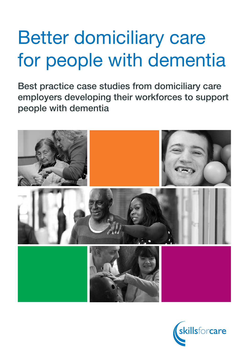# Better domiciliary care for people with dementia

Best practice case studies from domiciliary care employers developing their workforces to support people with dementia



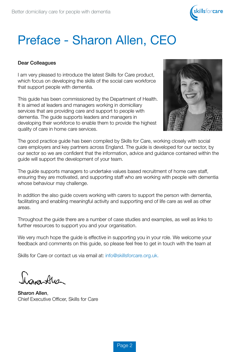

# Preface - Sharon Allen, CEO

#### Dear Colleagues

I am very pleased to introduce the latest Skills for Care product, which focus on developing the skills of the social care workforce that support people with dementia.

This guide has been commissioned by the Department of Health. It is aimed at leaders and managers working in domiciliary services that are providing care and support to people with dementia. The guide supports leaders and managers in developing their workforce to enable them to provide the highest quality of care in home care services.



The good practice guide has been compiled by Skills for Care, working closely with social care employers and key partners across England. The guide is developed for our sector, by our sector so we are confident that the information, advice and guidance contained within the guide will support the development of your team.

The guide supports managers to undertake values based recruitment of home care staff, ensuring they are motivated, and supporting staff who are working with people with dementia whose behaviour may challenge.

In addition the also guide covers working with carers to support the person with dementia, facilitating and enabling meaningful activity and supporting end of life care as well as other areas.

Throughout the guide there are a number of case studies and examples, as well as links to further resources to support you and your organisation.

We very much hope the guide is effective in supporting you in your role. We welcome your feedback and comments on this guide, so please feel free to get in touch with the team at

Skills for Care or contact us via email at: info@skillsforcare.org.uk.

hamatus

Sharon Allen, Chief Executive Officer, Skills for Care

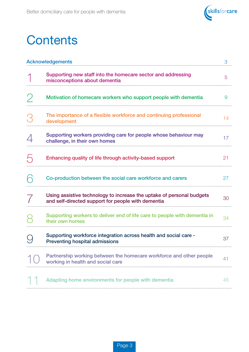

# **Contents**

| <b>Acknowledgements</b> |                                                                                                                             | 3  |
|-------------------------|-----------------------------------------------------------------------------------------------------------------------------|----|
|                         | Supporting new staff into the homecare sector and addressing<br>misconceptions about dementia                               | 5  |
|                         | Motivation of homecare workers who support people with dementia                                                             | 9  |
|                         | The importance of a flexible workforce and continuing professional<br>development                                           | 14 |
|                         | Supporting workers providing care for people whose behaviour may<br>challenge, in their own homes                           | 17 |
|                         | Enhancing quality of life through activity-based support                                                                    | 21 |
|                         | Co-production between the social care workforce and carers                                                                  | 27 |
|                         | Using assistive technology to increase the uptake of personal budgets<br>and self-directed support for people with dementia | 30 |
|                         | Supporting workers to deliver end of life care to people with dementia in<br>their own homes                                | 34 |
|                         | Supporting workforce integration across health and social care -<br><b>Preventing hospital admissions</b>                   | 37 |
|                         | Partnership working between the homecare workforce and other people<br>working in health and social care                    | 41 |
|                         | Adapting home environments for people with dementia                                                                         | 45 |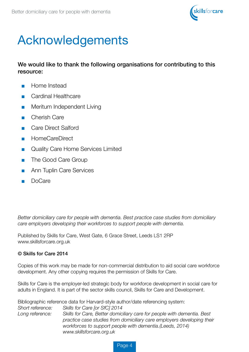

# Acknowledgements

We would like to thank the following organisations for contributing to this resource:

- Home Instead
- Cardinal Healthcare
- Meritum Independent Living
- Cherish Care
- Care Direct Salford
- HomeCareDirect
- Quality Care Home Services Limited
- The Good Care Group
- Ann Tuplin Care Services
- DoCare

*Better domiciliary care for people with dementia. Best practice case studies from domiciliary care employers developing their workforces to support people with dementia.*

Published by Skills for Care, West Gate, 6 Grace Street, Leeds LS1 2RP www.skillsforcare.org.uk

#### © Skills for Care 2014

Copies of this work may be made for non-commercial distribution to aid social care workforce development. Any other copying requires the permission of Skills for Care.

Skills for Care is the employer-led strategic body for workforce development in social care for adults in England. It is part of the sector skills council, Skills for Care and Development.

Bibliographic reference data for Harvard-style author/date referencing system:

*Short reference: Skills for Care [or SfC] 2014 Long reference: Skills for Care, Better domiciliary care for people with dementia. Best practice case studies from domiciliary care employers developing their workforces to support people with dementia.(Leeds, 2014) www.skillsforcare.org.uk*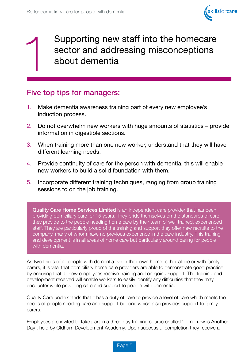

Supporting new staff into the homecare<br>sector and addressing misconceptions<br>about dementia sector and addressing misconceptions about dementia

### Five top tips for managers:

- 1. Make dementia awareness training part of every new employee's induction process.
- 2. Do not overwhelm new workers with huge amounts of statistics provide information in digestible sections.
- 3. When training more than one new worker, understand that they will have different learning needs.
- 4. Provide continuity of care for the person with dementia, this will enable new workers to build a solid foundation with them.
- 5. Incorporate different training techniques, ranging from group training sessions to on the job training.

Quality Care Home Services Limited is an independent care provider that has been providing domiciliary care for 15 years. They pride themselves on the standards of care they provide to the people needing home care by their team of well trained, experienced staff. They are particularly proud of the training and support they offer new recruits to the company, many of whom have no previous experience in the care industry. This training and development is in all areas of home care but particularly around caring for people with dementia.

As two thirds of all people with dementia live in their own home, either alone or with family carers, it is vital that domiciliary home care providers are able to demonstrate good practice by ensuring that all new employees receive training and on-going support. The training and development received will enable workers to easily identify any difficulties that they may encounter while providing care and support to people with dementia.

Quality Care understands that it has a duty of care to provide a level of care which meets the needs of people needing care and support but one which also provides support to family carers.

Employees are invited to take part in a three day training course entitled 'Tomorrow is Another Day', held by Oldham Development Academy. Upon successful completion they receive a

Page 5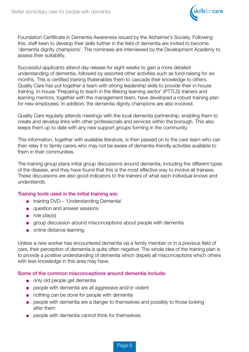

Foundation Certificate in Dementia Awareness issued by the Alzheimer's Society. Following this, staff keen to develop their skills further in the field of dementia are invited to become 'dementia dignity champions'. The nominees are interviewed by the Development Academy to assess their suitability.

Successful applicants attend day release for eight weeks to gain a more detailed understanding of dementia, followed by assorted other activities such as fund-raising for six months. This is certified training thatenables them to cascade their knowledge to others. Quality Care has put together a team with strong leadership skills to provide their in-house training. In-house 'Preparing to teach in the lifelong learning sector' (PTTLS) trainers and learning mentors, together with the management team, have developed a robust training plan for new employees. In addition, the dementia dignity champions are also involved.

Quality Care regularly attends meetings with the local dementia partnership, enabling them to create and develop links with other professionals and services within the borough. This also keeps them up to date with any new support groups forming in the community.

This information, together with available literature, is then passed on to the care team who can then relay it to family carers who may not be aware of dementia-friendly activities available to them in their communities.

The training group plans initial group discussions around dementia, including the different types of the disease, and they have found that this is the most effective way to involve all trainees. These discussions are also good indicators to the trainers of what each individual knows and understands.

#### Training tools used in the initial training are:

- training DVD 'Understanding Dementia'
- question and answer sessions
- role play(s)
- group discussion around misconceptions about people with dementia
- online distance learning.

Unless a new worker has encountered dementia via a family member or in a previous field of care, their perception of dementia is quite often negative. The whole idea of the training plan is to provide a positive understanding of dementia which dispels all misconceptions which others with less knowledge in this area may have.

#### Some of the common misconceptions around dementia include:

- only old people get dementia
- people with dementia are all aggressive and/or violent
- nothing can be done for people with dementia
- people with dementia are a danger to themselves and possibly to those looking after them
- people with dementia cannot think for themselves.

Page 6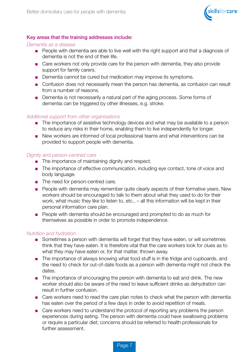

#### Key areas that the training addresses include:

#### *Dementia as a disease*

- People with dementia are able to live well with the right support and that a diagnosis of dementia is not the end of their life.
- Care workers not only provide care for the person with dementia, they also provide support for family carers.
- Dementia cannot be cured but medication may improve its symptoms.
- Confusion does not necessarily mean the person has dementia, as confusion can result from a number of reasons.
- Dementia is not necessarily a natural part of the aging process. Some forms of dementia can be triggered by other illnesses, e.g. stroke.

#### *Additional support from other organisations*

- The importance of assistive technology devices and what may be available to a person to reduce any risks in their home, enabling them to live independently for longer.
- New workers are informed of local professional teams and what interventions can be provided to support people with dementia.

#### *Dignity and person-centred care*

- The importance of maintaining dignity and respect.
- The importance of effective communication, including eye contact, tone of voice and body language.
- The need for person-centred care.
- People with dementia may remember quite clearly aspects of their formative years. New workers should be encouraged to talk to them about what they used to do for their work, what music they like to listen to, etc., – all this information will be kept in their personal information care plan.
- People with dementia should be encouraged and prompted to do as much for themselves as possible in order to promote independence.

#### *Nutrition and hydration*

- Sometimes a person with dementia will forget that they have eaten, or will sometimes think that they have eaten. It is therefore vital that the care workers look for clues as to what they may have eaten or, for that matter, thrown away.
- The importance of always knowing what food stuff is in the fridge and cupboards, and the need to check for out-of-date foods as a person with dementia might not check the dates.
- The importance of encouraging the person with dementia to eat and drink. The new worker should also be aware of the need to leave sufficient drinks as dehydration can result in further confusion.
- Care workers need to read the care plan notes to check what the person with dementia has eaten over the period of a few days in order to avoid repetition of meals.
- Care workers need to understand the protocol of reporting any problems the person experiences during eating. The person with dementia could have swallowing problems or require a particular diet; concerns should be referred to health professionals for further assessment.

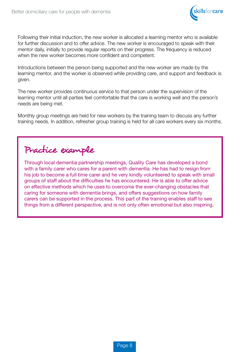

Following their initial induction, the new worker is allocated a learning mentor who is available for further discussion and to offer advice. The new worker is encouraged to speak with their mentor daily, initially to provide regular reports on their progress. The frequency is reduced when the new worker becomes more confident and competent.

Introductions between the person being supported and the new worker are made by the learning mentor, and the worker is observed while providing care, and support and feedback is given.

The new worker provides continuous service to that person under the supervision of the learning mentor until all parties feel comfortable that the care is working well and the person's needs are being met.

Monthly group meetings are held for new workers by the training team to discuss any further training needs. In addition, refresher group training is held for all care workers every six months.

# Practice example

Through local dementia partnership meetings, Quality Care has developed a bond with a family carer who cares for a parent with dementia. He has had to resign from his job to become a full time carer and he very kindly volunteered to speak with small groups of staff about the difficulties he has encountered. He is able to offer advice on effective methods which he uses to overcome the ever-changing obstacles that caring for someone with dementia brings, and offers suggestions on how family carers can be supported in the process. This part of the training enables staff to see things from a different perspective, and is not only often emotional but also inspiring.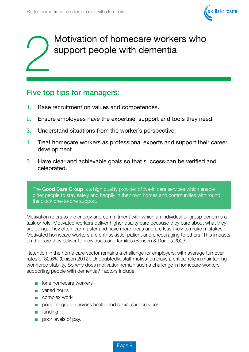

# Motivation of homecare workers who support people with dementia

### Five top tips for managers:

- 1. Base recruitment on values and competences.
- 2. Ensure employees have the expertise, support and tools they need.
- 3. Understand situations from the worker's perspective.
- 4. Treat homecare workers as professional experts and support their career development.
- 5. Have clear and achievable goals so that success can be verified and celebrated.

The **Good Care Group** is a high quality provider of live-in care services which enable older people to stay safely and happily in their own homes and communities with round the clock one-to-one support.

Motivation refers to the energy and commitment with which an individual or group performs a task or role. Motivated workers deliver higher quality care because they care about what they are doing. They often learn faster and have more ideas and are less likely to make mistakes. Motivated homecare workers are enthusiastic, patient and encouraging to others. This impacts on the care they deliver to individuals and families (Benson & Dundis 2003).

Retention in the home care sector remains a challenge for employers, with average turnover rates of 32.6% (Unison 2012). Undoubtedly, staff motivation plays a critical role in maintaining workforce stability. So why does motivation remain such a challenge in homecare workers supporting people with dementia? Factors include:

- lone homecare workers
- varied hours
- complex work
- poor integration across health and social care services
- funding
- poor levels of pay.

Page 9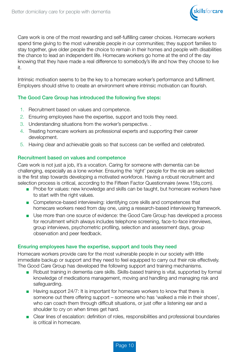

Care work is one of the most rewarding and self-fulfilling career choices. Homecare workers spend time giving to the most vulnerable people in our communities; they support families to stay together, give older people the choice to remain in their homes and people with disabilities the chance to lead an independent life. Homecare workers go home at the end of the day knowing that they have made a real difference to somebody's life and how they choose to live it.

Intrinsic motivation seems to be the key to a homecare worker's performance and fulfilment. Employers should strive to create an environment where intrinsic motivation can flourish.

#### The Good Care Group has introduced the following five steps:

- 1. Recruitment based on values and competence.
- 2. Ensuring employees have the expertise, support and tools they need.
- 3. Understanding situations from the worker's perspective. .
- 4. Treating homecare workers as professional experts and supporting their career development.
- 5. Having clear and achievable goals so that success can be verified and celebrated.

#### Recruitment based on values and competence

Care work is not just a job, it's a vocation. Caring for someone with dementia can be challenging, especially as a lone worker. Ensuring the 'right' people for the role are selected is the first step towards developing a motivated workforce. Having a robust recruitment and selection process is critical, according to the Fifteen Factor Questionnaire (www.15fq.com).

- Probe for values: new knowledge and skills can be taught, but homecare workers have to start with the right values.
- Competence-based interviewing: identifying core skills and competences that homecare workers need from day one, using a research-based interviewing framework.
- Use more than one source of evidence: the Good Care Group has developed a process for recruitment which always includes telephone screening, face-to-face interviews, group interviews, psychometric profiling, selection and assessment days, group observation and peer feedback.

#### Ensuring employees have the expertise, support and tools they need

Homecare workers provide care for the most vulnerable people in our society with little immediate backup or support and they need to feel equipped to carry out their role effectively. The Good Care Group has developed the following support and training mechanisms.

- Robust training in dementia care skills. Skills-based training is vital, supported by formal knowledge of medications management, moving and handling and managing risk and safeguarding.
- Having support 24/7: It is important for homecare workers to know that there is someone out there offering support – someone who has 'walked a mile in their shoes', who can coach them through difficult situations, or just offer a listening ear and a shoulder to cry on when times get hard.
- Clear lines of escalation: definition of roles, responsibilities and professional boundaries is critical in homecare.

Page 10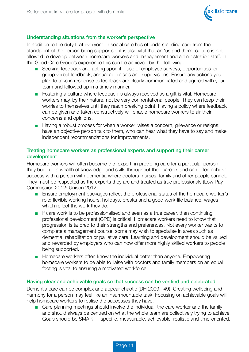

#### Understanding situations from the worker's perspective

In addition to the duty that everyone in social care has of understanding care from the standpoint of the person being supported, it is also vital that an 'us and them' culture is not allowed to develop between homecare workers and management and administration staff. In the Good Care Group's experience this can be achieved by the following.

- Seeking feedback and acting upon it use of employee surveys, opportunities for group verbal feedback, annual appraisals and supervisions. Ensure any actions you plan to take in response to feedback are clearly communicated and agreed with your team and followed up in a timely manner.
- Fostering a culture where feedback is always received as a gift is vital. Homecare workers may, by their nature, not be very confrontational people. They can keep their worries to themselves until they reach breaking point. Having a policy where feedback can be given and taken constructively will enable homecare workers to air their concerns and opinions.
- Having a robust process for when a worker raises a concern, grievance or resigns: have an objective person talk to them, who can hear what they have to say and make independent recommendations for improvements.

#### Treating homecare workers as professional experts and supporting their career development

Homecare workers will often become the 'expert' in providing care for a particular person, they build up a wealth of knowledge and skills throughout their careers and can often achieve success with a person with dementia where doctors, nurses, family and other people cannot. They must be respected as the experts they are and treated as true professionals (Low Pay Commission 2012; Unison 2012).

- Ensure employment packages reflect the professional status of the homecare worker's role: flexible working hours, holidays, breaks and a good work-life balance, wages which reflect the work they do.
- If care work is to be professionalised and seen as a true career, then continuing professional development (CPD) is critical. Homecare workers need to know that progression is tailored to their strengths and preferences. Not every worker wants to complete a management course; some may wish to specialise in areas such as dementia, rehabilitation or palliative care. Learning and development should be valued and rewarded by employers who can now offer more highly skilled workers to people being supported.
- Homecare workers often know the individual better than anyone. Empowering homecare workers to be able to liaise with doctors and family members on an equal footing is vital to ensuring a motivated workforce.

#### Having clear and achievable goals so that success can be verified and celebrated

Dementia care can be complex and appear chaotic (DH 2009, 49). Creating wellbeing and harmony for a person may feel like an insurmountable task. Focusing on achievable goals will help homecare workers to realise the successes they have.

■ Care planning meetings should involve the individual, the care worker and the family and should always be centred on what the whole team are collectively trying to achieve. Goals should be SMART – specific, measurable, achievable, realistic and time-oriented.

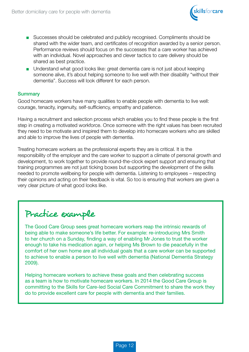

- Successes should be celebrated and publicly recognised. Compliments should be shared with the wider team, and certificates of recognition awarded by a senior person. Performance reviews should focus on the successes that a care worker has achieved with an individual. Novel approaches and clever tactics to care delivery should be shared as best practice.
- Understand what good looks like: great dementia care is not just about keeping someone alive, it's about helping someone to live well with their disability "without their dementia". Success will look different for each person.

#### **Summary**

Good homecare workers have many qualities to enable people with dementia to live well: courage, tenacity, ingenuity, self-sufficiency, empathy and patience.

Having a recruitment and selection process which enables you to find these people is the first step in creating a motivated workforce. Once someone with the right values has been recruited they need to be motivate and inspired them to develop into homecare workers who are skilled and able to improve the lives of people with dementia.

Treating homecare workers as the professional experts they are is critical. It is the responsibility of the employer and the care worker to support a climate of personal growth and development, to work together to provide round-the-clock expert support and ensuring that training programmes are not just ticking boxes but supporting the development of the skills needed to promote wellbeing for people with dementia. Listening to employees – respecting their opinions and acting on their feedback is vital. So too is ensuring that workers are given a very clear picture of what good looks like.

# Practice example

The Good Care Group sees great homecare workers reap the intrinsic rewards of being able to make someone's life better. For example: re-introducing Mrs Smith to her church on a Sunday, finding a way of enabling Mr Jones to trust the worker enough to take his medication again, or helping Ms Brown to die peacefully in the comfort of her own home are all individual goals that a care worker can be supported to achieve to enable a person to live well with dementia (National Dementia Strategy 2009).

Helping homecare workers to achieve these goals and then celebrating success as a team is how to motivate homecare workers. In 2014 the Good Care Group is committing to the Skills for Care-led Social Care Commitment to share the work they do to provide excellent care for people with dementia and their families.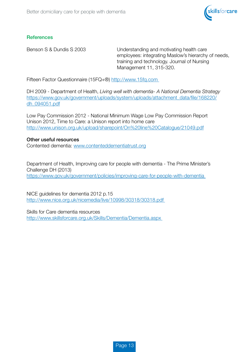

#### **References**

Benson S & Dundis S 2003 Understanding and motivating health care employees: integrating Maslow's hierarchy of needs, training and technology. Journal of Nursing Management 11, 315-320.

Fifteen Factor Questionnaire (15FQ+®) http://www.15fq.com

DH 2009 - Department of Health, *Living well with dementia- A National Dementia Strategy*  https://www.gov.uk/government/uploads/system/uploads/attachment\_data/file/168220/ dh\_094051.pdf

Low Pay Commission 2012 - National Minimum Wage Low Pay Commission Report Unison 2012, Time to Care: a Unison report into home care http://www.unison.org.uk/upload/sharepoint/On%20line%20Catalogue/21049.pdf

#### Other useful resources

Contented dementia: www.contenteddementiatrust.org

Department of Health, Improving care for people with dementia - The Prime Minister's Challenge DH (2013) https://www.gov.uk/government/policies/improving-care-for-people-with-dementia

NICE guidelines for dementia 2012 p.15 http://www.nice.org.uk/nicemedia/live/10998/30318/30318.pdf

Skills for Care dementia resources http://www.skillsforcare.org.uk/Skills/Dementia/Dementia.aspx

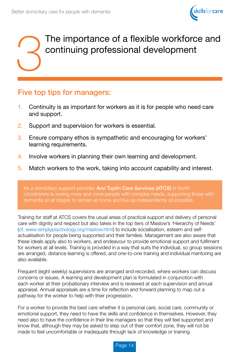

# The importance of a flexible workforce and<br>continuing professional development continuing professional development

### Five top tips for managers:

- 1. Continuity is as important for workers as it is for people who need care and support.
- 2. Support and supervision for workers is essential.
- 3. Ensure company ethos is sympathetic and encouraging for workers' learning requirements.
- 4. Involve workers in planning their own learning and development.
- 5. Match workers to the work, taking into account capability and interest.

As a domiciliary support provider, Ann Tuplin Care Services (ATCS) in North Lincolnshire is seeing more and more people with complex needs, supporting those with dementia at all stages to remain at home and live as independently as possible.

Training for staff at ATCS covers the usual areas of practical support and delivery of personal care with dignity and respect but also takes in the top tiers of Maslow's 'Hierarchy of Needs' (cf. www.simplypsychology.org/maslow.html) to include socialisation, esteem and selfactualisation for people being supported and their families. Management are also aware that these ideals apply also to workers, and endeavour to provide emotional support and fulfilment for workers at all levels. Training is provided in a way that suits the individual, so group sessions are arranged, distance learning is offered, and one-to-one training and individual mentoring are also available.

Frequent (eight weekly) supervisions are arranged and recorded, where workers can discuss concerns or issues. A learning and development plan is formulated in conjunction with each worker at their probationary interview and is reviewed at each supervision and annual appraisal. Annual appraisals are a time for reflection and forward planning to map out a pathway for the worker to help with their progression.

For a worker to provide the best care whether it is personal care, social care, community or emotional support, they need to have the skills and confidence in themselves. However, they need also to have the confidence in their line managers so that they will feel supported and know that, although they may be asked to step out of their comfort zone, they will not be made to feel uncomfortable or inadequate through lack of knowledge or training.

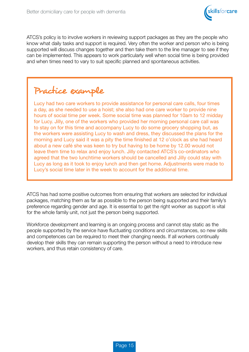

ATCS's policy is to involve workers in reviewing support packages as they are the people who know what daily tasks and support is required. Very often the worker and person who is being supported will discuss changes together and then take them to the line manager to see if they can be implemented. This appears to work particularly well when social time is being provided and when times need to vary to suit specific planned and spontaneous activities.

## Practice example

Lucy had two care workers to provide assistance for personal care calls, four times a day, as she needed to use a hoist; she also had one care worker to provide nine hours of social time per week. Some social time was planned for 10am to 12 midday for Lucy. Jilly, one of the workers who provided her morning personal care call was to stay on for this time and accompany Lucy to do some grocery shopping but, as the workers were assisting Lucy to wash and dress, they discussed the plans for the morning and Lucy said it was a pity the time finished at 12 o'clock as she had heard about a new café she was keen to try but having to be home by 12.00 would not leave them time to relax and enjoy lunch. Jilly contacted ATCS's co-ordinators who agreed that the two lunchtime workers should be cancelled and Jilly could stay with Lucy as long as it took to enjoy lunch and then get home. Adjustments were made to Lucy's social time later in the week to account for the additional time.

ATCS has had some positive outcomes from ensuring that workers are selected for individual packages, matching them as far as possible to the person being supported and their family's preference regarding gender and age. It is essential to get the right worker as support is vital for the whole family unit, not just the person being supported.

Workforce development and learning is an ongoing process and cannot stay static as the people supported by the service have fluctuating conditions and circumstances, so new skills and competences can be required to meet their changing needs. If all workers continually develop their skills they can remain supporting the person without a need to introduce new workers, and thus retain consistency of care.

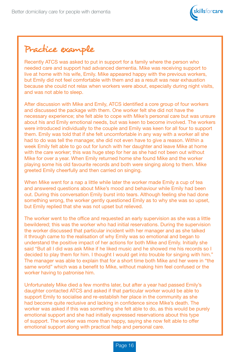

Practice example

Recently ATCS was asked to put in support for a family where the person who needed care and support had advanced dementia. Mike was receiving support to live at home with his wife, Emily. Mike appeared happy with the previous workers, but Emily did not feel comfortable with them and as a result was near exhaustion because she could not relax when workers were about, especially during night visits, and was not able to sleep.

After discussion with Mike and Emily, ATCS identified a core group of four workers and discussed the package with them. One worker felt she did not have the necessary experience; she felt able to cope with Mike's personal care but was unsure about his and Emily emotional needs, but was keen to become involved. The workers were introduced individually to the couple and Emily was keen for all four to support them. Emily was told that if she felt uncomfortable in any way with a worker all she had to do was tell the manager, she did not even have to give a reason. Within a week Emily felt able to go out for lunch with her daughter and leave Mike at home with the care worker; this was huge step for her as she had not been out without Mike for over a year. When Emily returned home she found Mike and the worker playing some his old favourite records and both were singing along to them. Mike greeted Emily cheerfully and then carried on singing.

When Mike went for a nap a little while later the worker made Emily a cup of tea and answered questions about Mike's mood and behaviour while Emily had been out. During this conversation Emily burst into tears. Although feeling she had done something wrong, the worker gently questioned Emily as to why she was so upset, but Emily replied that she was not upset but relieved.

The worker went to the office and requested an early supervision as she was a little bewildered; this was the worker who had initial reservations. During the supervision the worker discussed that particular incident with her manager and as she talked it through came to the realisation of why Emily was so emotional and began to understand the positive impact of her actions for both Mike and Emily. Initially she said "But all I did was ask Mike if he liked music and he showed me his records so I decided to play them for him. I thought I would get into trouble for singing with him." The manager was able to explain that for a short time both Mike and her were in "the same world" which was a benefit to Mike, without making him feel confused or the worker having to patronise him.

Unfortunately Mike died a few months later, but after a year had passed Emily's daughter contacted ATCS and asked if that particular worker would be able to support Emily to socialise and re-establish her place in the community as she had become quite reclusive and lacking in confidence since Mike's death. The worker was asked if this was something she felt able to do, as this would be purely emotional support and she had initially expressed reservations about this type of support. The worker was more than happy, saying she now felt able to offer emotional support along with practical help and personal care.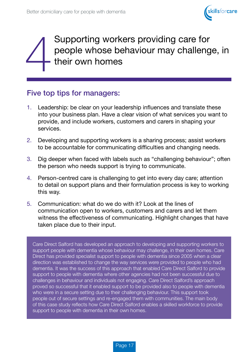

# Supporting workers providing care for<br>people whose behaviour may challeng<br>their own homes people whose behaviour may challenge, in their own homes

### Five top tips for managers:

- 1. Leadership: be clear on your leadership influences and translate these into your business plan. Have a clear vision of what services you want to provide, and include workers, customers and carers in shaping your services.
- 2. Developing and supporting workers is a sharing process; assist workers to be accountable for communicating difficulties and changing needs.
- 3. Dig deeper when faced with labels such as "challenging behaviour"; often the person who needs support is trying to communicate.
- 4. Person-centred care is challenging to get into every day care; attention to detail on support plans and their formulation process is key to working this way.
- 5. Communication: what do we do with it? Look at the lines of communication open to workers, customers and carers and let them witness the effectiveness of communicating. Highlight changes that have taken place due to their input.

Care Direct Salford has developed an approach to developing and supporting workers to support people with dementia whose behaviour may challenge, in their own homes. Care Direct has provided specialist support to people with dementia since 2005 when a clear direction was established to change the way services were provided to people who had dementia. It was the success of this approach that enabled Care Direct Salford to provide support to people with dementia where other agencies had not been successful due to challenges in behaviour and individuals not engaging. Care Direct Salford's approach proved so successful that it enabled support to be provided also to people with dementia who were in a secure setting due to their challenging behaviour. This support took people out of secure settings and re-engaged them with communities. The main body of this case study reflects how Care Direct Salford enables a skilled workforce to provide support to people with dementia in their own homes.

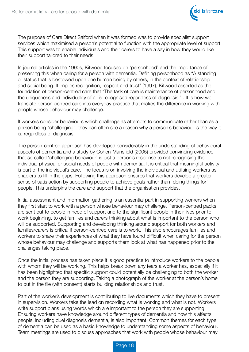

The purpose of Care Direct Salford when it was formed was to provide specialist support services which maximised a person's potential to function with the appropriate level of support. This support was to enable individuals and their carers to have a say in how they would like their support tailored to their needs.

In journal articles in the 1990s, Kitwood focused on 'personhood' and the importance of preserving this when caring for a person with dementia. Defining personhood as "A standing or status that is bestowed upon one human being by others, in the context of relationship and social being. It implies recognition, respect and trust" (1997), Kitwood asserted as the foundation of person-centred care that "The task of care is maintenance of personhood and the uniqueness and individuality of all is recognised regardless of diagnosis." . It is how we translate person-centred care into everyday practice that makes the difference in working with people whose behaviour may challenge.

If workers consider behaviours which challenge as attempts to communicate rather than as a person being "challenging", they can often see a reason why a person's behaviour is the way it is, regardless of diagnosis.

The person-centred approach has developed considerably in the understanding of behavioural aspects of dementia and a study by Cohen-Mansfield (2005) provided convincing evidence that so called 'challenging behaviour' is just a person's response to not recognising the individual physical or social needs of people with dementia. It is critical that meaningful activity is part of the individual's care. The focus is on involving the individual and utilising workers as enablers to fill in the gaps. Following this approach ensures that workers develop a greater sense of satisfaction by supporting people to achieve goals rather than 'doing things for' people. This underpins the care and support that the organisation provides.

Initial assessment and information gathering is an essential part in supporting workers when they first start to work with a person whose behaviour may challenge. Person-centred packs are sent out to people in need of support and to the significant people in their lives prior to work beginning, to get families and carers thinking about what is important to the person who will be supported. Supporting and developing thinking around support for both workers and families/carers is critical if person-centred care is to work. This also encourages families and workers to share their experiences of what they have found difficult when caring for the person whose behaviour may challenge and supports them look at what has happened prior to the challenges taking place.

Once the initial process has taken place it is good practice to introduce workers to the people with whom they will be working. This helps break down any fears a worker has, especially if it has been highlighted that specific support could potentially be challenging to both the worker and the person they are supporting. Taking a photograph of the worker at the person's home to put in the file (with consent) starts building relationships and trust.

Part of the worker's development is contributing to live documents which they have to present in supervision. Workers take the lead on recording what is working and what is not. Workers write support plans using words which are important to the person they are supporting. Ensuring workers have knowledge around different types of dementia and how this affects people, including duel diagnosis dementia, is also important. Common themes for each type of dementia can be used as a basic knowledge to understanding some aspects of behaviour. Team meetings are used to discuss approaches that work with people whose behaviour may

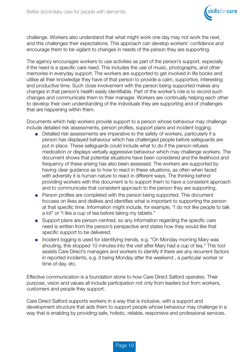

challenge. Workers also understand that what might work one day may not work the next, and this challenges their expectations. This approach can develop workers' confidence and encourage them to be vigilant to changes in needs of the person they are supporting.

The agency encourages workers to use activities as part of the person's support, especially if the need is a specific care need. This includes the use of music, photographs, and other memories in everyday support. The workers are supported to get involved in life books and utilise all their knowledge they have of that person to provide a calm, supportive, interesting and productive time. Such close involvement with the person being supported makes any changes in that person's health easily identifiable. Part of the worker's role is to record such changes and communicate them to their manager. Workers are continually helping each other to develop their own understanding of the individuals they are supporting and of challenges that are happening within them.

Documents which help workers provide support to a person whose behaviour may challenge include detailed risk assessments, person profiles, support plans and incident logging.

- Detailed risk assessments are imperative to the safety of workers, particularly if a person has displayed behaviour which has challenged people before safeguards are put in place. These safeguards could include what to do if the person refuses medication or displays verbally aggressive behaviour which may challenge workers. The document shows that potential situations have been considered and the likelihood and frequency of these arising has also been assessed. The workers are supported by having clear guidance as to how to react in these situations, as often when faced with adversity it is human nature to react in different ways. The thinking behind providing workers with this document is to support them to have a consistent approach and to communicate that consistent approach to the person they are supporting.
- Person profiles are completed with the person being supported. This document focuses on likes and dislikes and identifies what is important to supporting the person at that specific time. Information might include, for example, "I do not like people to talk a lot" or "I like a cup of tea before taking my tablets."
- Support plans are person-centred, so any information regarding the specific care need is written from the person's perspective and states how they would like that specific support to be delivered.
- Incident logging is used for identifying trends, e.g. "On Monday morning Mary was shouting, this stopped 10 minutes into the visit after Mary had a cup of tea." This tool assists Care Direct's managers and workers to identify if there are any recurrent factors in reported incidents, e.g. it being Monday after the weekend , a particular worker or time of day, etc.

Effective communication is a foundation stone to how Care Direct Salford operates. Their purpose, vision and values all include participation not only from leaders but from workers, customers and people they support.

Care Direct Salford supports workers in a way that is inclusive, with a support and development structure that aids them to support people whose behaviour may challenge in a way that is enabling by providing safe, holistic, reliable, responsive and professional services.

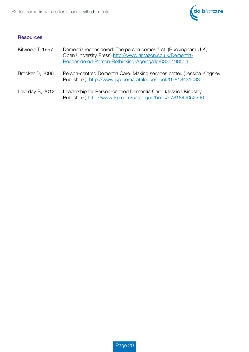

#### **Resources**

| Kitwood T, 1997 | Dementia reconsidered: The person comes first. (Buckingham U.K.<br>Open University Press) http://www.amazon.co.uk/Dementia-<br>Reconsidered-Person-Rethinking-Ageing/dp/0335198554 |
|-----------------|------------------------------------------------------------------------------------------------------------------------------------------------------------------------------------|
| Brooker D, 2006 | Person-centred Dementia Care. Making services better. (Jessica Kingsley<br>Publishers) http://www.jkp.com/catalogue/book/9781843103370                                             |
| Loveday B, 2012 | Leadership for Person-centred Dementia Care. (Jessica Kingsley<br>Publishers) http://www.jkp.com/catalogue/book/9781849052290                                                      |

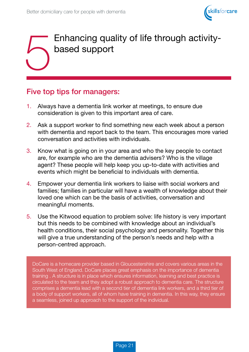

# 5 Enhancing quality of life through activitybased support

### Five top tips for managers:

- 1. Always have a dementia link worker at meetings, to ensure due consideration is given to this important area of care.
- 2. Ask a support worker to find something new each week about a person with dementia and report back to the team. This encourages more varied conversation and activities with individuals.
- 3. Know what is going on in your area and who the key people to contact are, for example who are the dementia advisers? Who is the village agent? These people will help keep you up-to-date with activities and events which might be beneficial to individuals with dementia.
- 4. Empower your dementia link workers to liaise with social workers and families; families in particular will have a wealth of knowledge about their loved one which can be the basis of activities, conversation and meaningful moments.
- 5. Use the Kitwood equation to problem solve: life history is very important but this needs to be combined with knowledge about an individual's health conditions, their social psychology and personality. Together this will give a true understanding of the person's needs and help with a person-centred approach.

DoCare is a homecare provider based in Gloucestershire and covers various areas in the South West of England. DoCare places great emphasis on the importance of dementia training . A structure is in place which ensures information, learning and best practice is circulated to the team and they adopt a robust approach to dementia care. The structure comprises a dementia lead with a second tier of dementia link workers, and a third tier of a body of support workers, all of whom have training in dementia. In this way, they ensure a seamless, joined up approach to the support of the individual.

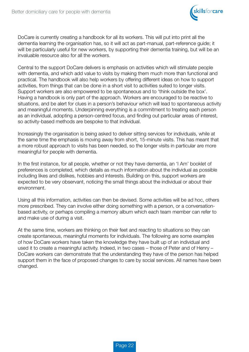

DoCare is currently creating a handbook for all its workers. This will put into print all the dementia learning the organisation has, so it will act as part-manual, part-reference guide; it will be particularly useful for new workers, by supporting their dementia training, but will be an invaluable resource also for all the workers.

Central to the support DoCare delivers is emphasis on activities which will stimulate people with dementia, and which add value to visits by making them much more than functional and practical. The handbook will also help workers by offering different ideas on how to support activities, from things that can be done in a short visit to activities suited to longer visits. Support workers are also empowered to be spontaneous and to 'think outside the box'. Having a handbook is only part of the approach. Workers are encouraged to be reactive to situations, and be alert for clues in a person's behaviour which will lead to spontaneous activity and meaningful moments. Underpinning everything is a commitment to treating each person as an individual, adopting a person-centred focus, and finding out particular areas of interest, so activity-based methods are bespoke to that individual.

Increasingly the organisation is being asked to deliver sitting services for individuals, while at the same time the emphasis is moving away from short, 15-minute visits. This has meant that a more robust approach to visits has been needed, so the longer visits in particular are more meaningful for people with dementia.

In the first instance, for all people, whether or not they have dementia, an 'I Am' booklet of preferences is completed, which details as much information about the individual as possible including likes and dislikes, hobbies and interests. Building on this, support workers are expected to be very observant, noticing the small things about the individual or about their environment.

Using all this information, activities can then be devised. Some activities will be ad hoc, others more prescribed. They can involve either doing something with a person, or a conversationbased activity, or perhaps compiling a memory album which each team member can refer to and make use of during a visit.

At the same time, workers are thinking on their feet and reacting to situations so they can create spontaneous, meaningful moments for individuals. The following are some examples of how DoCare workers have taken the knowledge they have built up of an individual and used it to create a meaningful activity. Indeed, in two cases – those of Peter and of Henry – DoCare workers can demonstrate that the understanding they have of the person has helped support them in the face of proposed changes to care by social services. All names have been changed.

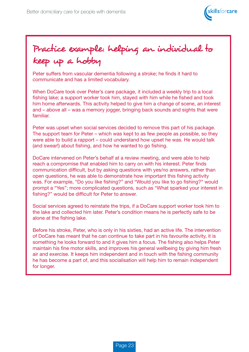

# Practice example: helping an individual to keep up a hobby

Peter suffers from vascular dementia following a stroke; he finds it hard to communicate and has a limited vocabulary.

When DoCare took over Peter's care package, it included a weekly trip to a local fishing lake; a support worker took him, stayed with him while he fished and took him home afterwards. This activity helped to give him a change of scene, an interest and – above all – was a memory jogger, bringing back sounds and sights that were familiar.

Peter was upset when social services decided to remove this part of his package. The support team for Peter – which was kept to as few people as possible, so they were able to build a rapport – could understand how upset he was. He would talk (and swear!) about fishing, and how he wanted to go fishing.

DoCare intervened on Peter's behalf at a review meeting, and were able to help reach a compromise that enabled him to carry on with his interest. Peter finds communication difficult, but by asking questions with yes/no answers, rather than open questions, he was able to demonstrate how important this fishing activity was. For example, "Do you like fishing?" and "Would you like to go fishing?" would prompt a "Yes"; more complicated questions, such as "What sparked your interest in fishing?" would be difficult for Peter to answer.

Social services agreed to reinstate the trips, if a DoCare support worker took him to the lake and collected him later. Peter's condition means he is perfectly safe to be alone at the fishing lake.

Before his stroke, Peter, who is only in his sixties, had an active life. The intervention of DoCare has meant that he can continue to take part in his favourite activity, it is something he looks forward to and it gives him a focus. The fishing also helps Peter maintain his fine motor skills, and improves his general wellbeing by giving him fresh air and exercise. It keeps him independent and in touch with the fishing community he has become a part of, and this socialisation will help him to remain independent for longer.

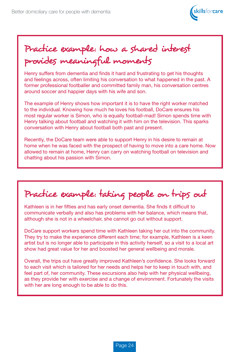

# Practice example: how a shared interest provides meaningful moments

Henry suffers from dementia and finds it hard and frustrating to get his thoughts and feelings across, often limiting his conversation to what happened in the past. A former professional footballer and committed family man, his conversation centres around soccer and happier days with his wife and son.

The example of Henry shows how important it is to have the right worker matched to the individual. Knowing how much he loves his football, DoCare ensures his most regular worker is Simon, who is equally football-mad! Simon spends time with Henry talking about football and watching it with him on the television. This sparks conversation with Henry about football both past and present.

Recently, the DoCare team were able to support Henry in his desire to remain at home when he was faced with the prospect of having to move into a care home. Now allowed to remain at home, Henry can carry on watching football on television and chatting about his passion with Simon.

Practice example: taking people on trips out

Kathleen is in her fifties and has early onset dementia. She finds it difficult to communicate verbally and also has problems with her balance, which means that, although she is not in a wheelchair, she cannot go out without support.

DoCare support workers spend time with Kathleen taking her out into the community. They try to make the experience different each time; for example, Kathleen is a keen artist but is no longer able to participate in this activity herself, so a visit to a local art show had great value for her and boosted her general wellbeing and morale.

Overall, the trips out have greatly improved Kathleen's confidence. She looks forward to each visit which is tailored for her needs and helps her to keep in touch with, and feel part of, her community. These excursions also help with her physical wellbeing, as they provide her with exercise and a change of environment. Fortunately the visits with her are long enough to be able to do this.

Page 24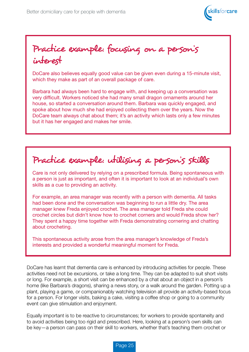

Practice example: focusing on a person's interest

DoCare also believes equally good value can be given even during a 15-minute visit, which they make as part of an overall package of care.

Barbara had always been hard to engage with, and keeping up a conversation was very difficult. Workers noticed she had many small dragon ornaments around her house, so started a conversation around them. Barbara was quickly engaged, and spoke about how much she had enjoyed collecting them over the years. Now the DoCare team always chat about them; it's an activity which lasts only a few minutes but it has her engaged and makes her smile.

Practice example: utilising a person's skills

Care is not only delivered by relying on a prescribed formula. Being spontaneous with a person is just as important, and often it is important to look at an individual's own skills as a cue to providing an activity.

For example, an area manager was recently with a person with dementia. All tasks had been done and the conversation was beginning to run a little dry. The area manager knew Freda enjoyed crochet. The area manager told Freda she could crochet circles but didn't know how to crochet corners and would Freda show her? They spent a happy time together with Freda demonstrating cornering and chatting about crocheting.

This spontaneous activity arose from the area manager's knowledge of Freda's interests and provided a wonderful meaningful moment for Freda.

DoCare has learnt that dementia care is enhanced by introducing activities for people. These activities need not be excursions, or take a long time. They can be adapted to suit short visits or long. For example, a short visit can be enhanced by a chat about an object in a person's home (like Barbara's dragons), sharing a news story, or a walk around the garden. Potting up a plant, playing a game, or companionably watching television all provide an activity-based focus for a person. For longer visits, baking a cake, visiting a coffee shop or going to a community event can give stimulation and enjoyment.

Equally important is to be reactive to circumstances; for workers to provide spontaneity and to avoid activities being too rigid and prescribed. Here, looking at a person's own skills can be key—a person can pass on their skill to workers, whether that's teaching them crochet or

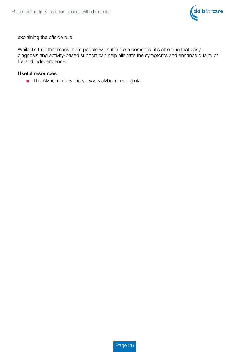

explaining the offside rule!

While it's true that many more people will suffer from dementia, it's also true that early diagnosis and activity-based support can help alleviate the symptoms and enhance quality of life and independence.

#### Useful resources

■ The Alzheimer's Society - www.alzheimers.org.uk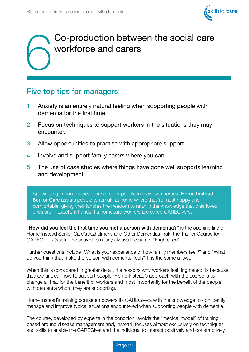

# 6 Co-production between the social care workforce and carers

### Five top tips for managers:

- 1. Anxiety is an entirely natural feeling when supporting people with dementia for the first time.
- 2. Focus on techniques to support workers in the situations they may encounter.
- 3. Allow opportunities to practise with appropriate support.
- 4. Involve and support family carers where you can.
- 5. The use of case studies where things have gone well supports learning and development.

Specialising in non-medical care of older people in their own homes, **Home Instead** Senior Care assists people to remain at home where they're most happy and comfortable, giving their families the freedom to relax in the knowledge that their loved ones are in excellent hands. Its homecare workers are called CAREGivers.

"How did you feel the first time you met a person with dementia?" is the opening line of Home Instead Senior Care's Alzheimer's and Other Dementias Train the Trainer Course for CAREGivers (staff). The answer is nearly always the same, "Frightened".

Further questions include "What is your experience of how family members feel?" and "What do you think that make the person with dementia feel?" It is the same answer.

When this is considered in greater detail, the reasons why workers feel 'frightened' is because they are unclear how to support people. Home Instead's approach with the course is to change all that for the benefit of workers and most importantly for the benefit of the people with dementia whom they are supporting.

Home Instead's training course empowers its CAREGivers with the knowledge to confidently manage and improve typical situations encountered when supporting people with dementia.

The course, developed by experts in the condition, avoids the "medical model" of training based around disease management and, instead, focuses almost exclusively on techniques and skills to enable the CAREGiver and the individual to interact positively and constructively.

Page 27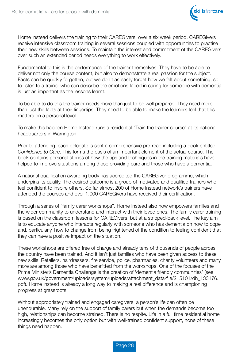

Home Instead delivers the training to their CAREGivers over a six week period. CAREGivers receive intensive classroom training in several sessions coupled with opportunities to practise their new skills between sessions. To maintain the interest and commitment of the CAREGivers over such an extended period needs everything to work effectively.

Fundamental to this is the performance of the trainer themselves. They have to be able to deliver not only the course content, but also to demonstrate a real passion for the subject. Facts can be quickly forgotten, but we don't as easily forget how we felt about something, so to listen to a trainer who can describe the emotions faced in caring for someone with dementia is just as important as the lessons learnt.

To be able to do this the trainer needs more than just to be well prepared. They need more than just the facts at their fingertips. They need to be able to make the learners feel that this matters on a personal level.

To make this happen Home Instead runs a residential "Train the trainer course" at its national headquarters in Warrington.

Prior to attending, each delegate is sent a comprehensive pre-read including a book entitled *Confidence to Care*. This forms the basis of an important element of the actual course. The book contains personal stories of how the tips and techniques in the training materials have helped to improve situations among those providing care and those who have a dementia.

A national qualification awarding body has accredited the CAREGiver programme, which underpins its quality. The desired outcome is a group of motivated and qualified trainers who feel confident to inspire others. So far almost 200 of Home Instead network's trainers have attended the courses and over 1,000 CAREGivers have received their certification.

Through a series of "family carer workshops", Home Instead also now empowers families and the wider community to understand and interact with their loved ones. The family carer training is based on the classroom lessons for CAREGivers, but at a stripped-back level. The key aim is to educate anyone who interacts regularly with someone who has dementia on how to cope and, particularly, how to change from being frightened of the condition to feeling confident that they can have a positive impact on the situation.

These workshops are offered free of charge and already tens of thousands of people across the country have been trained. And it isn't just families who have been given access to these new skills. Retailers, hairdressers, fire service, police, pharmacies, charity volunteers and many more are among those who have benefitted from the workshops. One of the focuses of the Prime Minister's Dementia Challenge is the creation of 'dementia friendly communities' (see www.gov.uk/government/uploads/system/uploads/attachment\_data/file/215101/dh\_133176. pdf). Home Instead is already a long way to making a real difference and is championing progress at grassroots.

Without appropriately trained and engaged caregivers, a person's life can often be unendurable. Many rely on the support of family carers but when the demands become too high, relationships can become strained. There is no respite. Life in a full time residential home increasingly becomes the only option but with well-trained confident support, none of these things need happen.

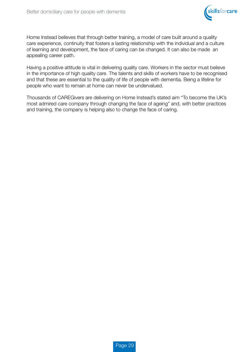

Home Instead believes that through better training, a model of care built around a quality care experience, continuity that fosters a lasting relationship with the individual and a culture of learning and development, the face of caring can be changed. It can also be made an appealing career path.

Having a positive attitude is vital in delivering quality care. Workers in the sector must believe in the importance of high quality care. The talents and skills of workers have to be recognised and that these are essential to the quality of life of people with dementia. Being a lifeline for people who want to remain at home can never be undervalued.

Thousands of CAREGivers are delivering on Home Instead's stated aim "To become the UK's most admired care company through changing the face of ageing" and, with better practices and training, the company is helping also to change the face of caring.

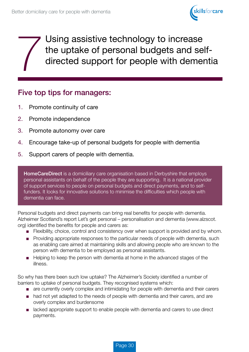

Using assistive technology to increase<br>the uptake of personal budgets and sel<br>directed support for people with demer the uptake of personal budgets and selfdirected support for people with dementia

### Five top tips for managers:

- 1. Promote continuity of care
- 2. Promote independence
- 3. Promote autonomy over care
- 4. Encourage take-up of personal budgets for people with dementia
- 5. Support carers of people with dementia.

**HomeCareDirect** is a domiciliary care organisation based in Derbyshire that employs personal assistants on behalf of the people they are supporting. It is a national provider of support services to people on personal budgets and direct payments, and to selffunders. It looks for innovative solutions to minimise the difficulties which people with dementia can face.

Personal budgets and direct payments can bring real benefits for people with dementia. Alzheimer Scotland's report Let's get personal – personalisation and dementia (www.alzscot. org) identified the benefits for people and carers as:

- Flexibility, choice, control and consistency over when support is provided and by whom.
- Providing appropriate responses to the particular needs of people with dementia, such as enabling care aimed at maintaining skills and allowing people who are known to the person with dementia to be employed as personal assistants.
- Helping to keep the person with dementia at home in the advanced stages of the illness.

So why has there been such low uptake? The Alzheimer's Society identified a number of barriers to uptake of personal budgets. They recognised systems which:

- are currently overly complex and intimidating for people with dementia and their carers
- had not yet adapted to the needs of people with dementia and their carers, and are overly complex and burdensome
- lacked appropriate support to enable people with dementia and carers to use direct payments.

Page 30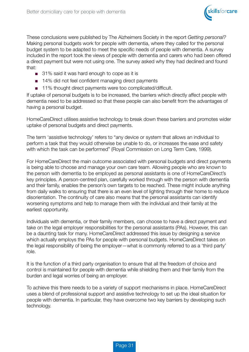

These conclusions were published by The Alzheimers Society in the report *Getting personal?*  Making personal budgets work for people with dementia, where they called for the personal budget system to be adapted to meet the specific needs of people with dementia. A survey included in the report took the views of people with dementia and carers who had been offered a direct payment but were not using one. The survey asked why they had declined and found that:

- 31% said it was hard enough to cope as it is
- 14% did not feel confident managing direct payments
- 11% thought direct payments were too complicated/difficult.

If uptake of personal budgets is to be increased, the barriers which directly affect people with dementia need to be addressed so that these people can also benefit from the advantages of having a personal budget.

HomeCareDirect utilises assistive technology to break down these barriers and promotes wider uptake of personal budgets and direct payments.

The term 'assistive technology' refers to "any device or system that allows an individual to perform a task that they would otherwise be unable to do, or increases the ease and safety with which the task can be performed" (Royal Commission on Long Term Care, 1999).

For HomeCareDirect the main outcome associated with personal budgets and direct payments is being able to choose and manage your own care team. Allowing people who are known to the person with dementia to be employed as personal assistants is one of HomeCareDirect's key principles. A person-centred plan, carefully worked through with the person with dementia and their family, enables the person's own targets to be reached. These might include anything from daily walks to ensuring that there is an even level of lighting through their home to reduce disorientation. The continuity of care also means that the personal assistants can identify worsening symptoms and help to manage them with the individual and their family at the earliest opportunity.

Individuals with dementia, or their family members, can choose to have a direct payment and take on the legal employer responsibilities for the personal assistants (PAs). However, this can be a daunting task for many. HomeCareDirect addressed this issue by designing a service which actually employs the PAs for people with personal budgets. HomeCareDirect takes on the legal responsibility of being the employer—what is commonly referred to as a 'third party' role.

It is the function of a third party organisation to ensure that all the freedom of choice and control is maintained for people with dementia while shielding them and their family from the burden and legal worries of being an employer.

To achieve this there needs to be a variety of support mechanisms in place. HomeCareDirect uses a blend of professional support and assistive technology to set up the ideal situation for people with dementia. In particular, they have overcome two key barriers by developing such technology.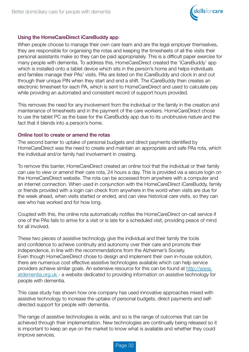

#### Using the HomeCareDirect iCareBuddy app

When people choose to manage their own care team and are the legal employer themselves, they are responsible for organising the rotas and keeping the timesheets of all the visits their personal assistants make so they can be paid appropriately. This is a difficult paper exercise for many people with dementia. To address this, HomeCareDirect created the 'iCareBuddy' app which is installed onto a tablet device which sits in the person's home and helps individuals and families manage their PAs' visits. PAs are listed on the iCareBuddy and clock in and out through their unique PIN when they start and end a shift. The iCareBuddy then creates an electronic timesheet for each PA, which is sent to HomeCareDirect and used to calculate pay while providing an automated and consistent record of support hours provided.

This removes the need for any involvement from the individual or the family in the creation and maintenance of timesheets and in the payment of the care workers. HomeCareDirect chose to use the tablet PC as the base for the iCareBuddy app due to its unobtrusive nature and the fact that it blends into a person's home.

#### Online tool to create or amend the rotas

The second barrier to uptake of personal budgets and direct payments identified by HomeCareDirect was the need to create and maintain an appropriate and safe PAs rota, which the individual and/or family had involvement in creating.

To remove this barrier, HomeCareDirect created an online tool that the individual or their family can use to view or amend their care rota, 24 hours a day. This is provided via a secure login on the HomeCareDirect website. The rota can be accessed from anywhere with a computer and an internet connection. When used in conjunction with the HomeCareDirect iCareBuddy, family or friends provided with a login can check from anywhere in the world when visits are due for the week ahead, when visits started or ended, and can view historical care visits, so they can see who has worked and for how long.

Coupled with this, the online rota automatically notifies the HomeCareDirect on-call service if one of the PAs fails to arrive for a visit or is late for a scheduled visit, providing peace of mind for all involved.

These two pieces of assistive technology give the individual and their family the tools and confidence to achieve continuity and autonomy over their care and promote their independence, in line with the recommendations from the Alzheimer's Society. Even though HomeCareDirect chose to design and implement their own in-house solution, there are numerous cost effective assistive technologies available which can help service providers achieve similar goals. An extensive resource for this can be found at http://www. atdementia.org.uk - a website dedicated to providing information on assistive technology for people with dementia.

This case study has shown how one company has used innovative approaches mixed with assistive technology to increase the uptake of personal budgets, direct payments and selfdirected support for people with dementia.

The range of assistive technologies is wide, and so is the range of outcomes that can be achieved through their implementation. New technologies are continually being released so it is important to keep an eye on the market to know what is available and whether they could improve services.

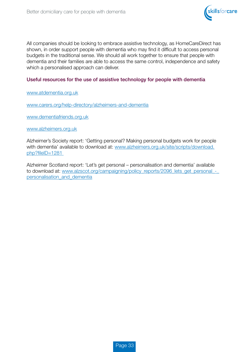

All companies should be looking to embrace assistive technology, as HomeCareDirect has shown, in order support people with dementia who may find it difficult to access personal budgets in the traditional sense. We should all work together to ensure that people with dementia and their families are able to access the same control, independence and safety which a personalised approach can deliver.

#### Useful resources for the use of assistive technology for people with dementia

www.atdementia.org.uk

www.carers.org/help-directory/alzheimers-and-dementia

www.dementiafriends.org.uk

www.alzheimers.org.uk

Alzheimer's Society report: 'Getting personal? Making personal budgets work for people with dementia' available to download at: www.alzheimers.org.uk/site/scripts/download. php?fileID=1281

Alzheimer Scotland report: 'Let's get personal – personalisation and dementia' available to download at: www.alzscot.org/campaigning/policy\_reports/2096\_lets\_get\_personal\_-\_ personalisation\_and\_dementia

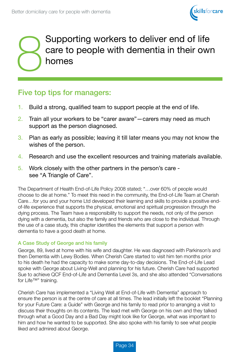

# Supporting workers to deliver end of life<br>care to people with dementia in their own<br>homes care to people with dementia in their own homes

### Five top tips for managers:

- 1. Build a strong, qualified team to support people at the end of life.
- 2. Train all your workers to be "carer aware"—carers may need as much support as the person diagnosed.
- 3. Plan as early as possible; leaving it till later means you may not know the wishes of the person.
- 4. Research and use the excellent resources and training materials available.
- 5. Work closely with the other partners in the person's care see "A Triangle of Care".

The Department of Health End-of-Life Policy 2008 stated; "…over 60% of people would choose to die at home." To meet this need in the community, the End-of-Life Team at Cherish Care…for you and your home Ltd developed their learning and skills to provide a positive endof-life experience that supports the physical, emotional and spiritual progression through the dying process. The Team have a responsibility to support the needs, not only of the person dying with a dementia, but also the family and friends who are close to the individual. Through the use of a case study, this chapter identifies the elements that support a person with dementia to have a good death at home.

#### A Case Study of George and his family

George, 89, lived at home with his wife and daughter. He was diagnosed with Parkinson's and then Dementia with Lewy Bodies. When Cherish Care started to visit him ten months prior to his death he had the capacity to make some day-to-day decisions. The End-of-Life Lead spoke with George about Living-Well and planning for his future. Cherish Care had supported Sue to achieve QCF End-of-Life and Dementia Level 3s, and she also attended "Conversations for Life™" training.

Cherish Care has implemented a "Living Well at End-of-Life with Dementia" approach to ensure the person is at the centre of care at all times. The lead initially left the booklet "Planning for your Future Care: a Guide" with George and his family to read prior to arranging a visit to discuss their thoughts on its contents. The lead met with George on his own and they talked through what a Good Day and a Bad Day might look like for George, what was important to him and how he wanted to be supported. She also spoke with his family to see what people liked and admired about George.

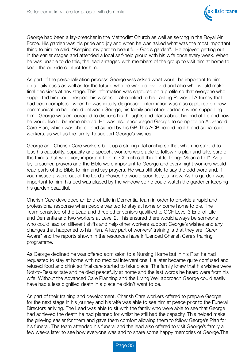

George had been a lay-preacher in the Methodist Church as well as serving in the Royal Air Force. His garden was his pride and joy and when he was asked what was the most important thing to him he said, "Keeping my garden beautiful - God's garden". He enjoyed getting out in the earlier stages and attended a local self-help group with his wife once every week. When he was unable to do this, the lead arranged with members of the group to visit him at home to keep the outside contact for him.

As part of the personalisation process George was asked what would be important to him on a daily basis as well as for the future, who he wanted involved and also who would make final decisions at any stage. This information was captured on a profile so that everyone who supported him could respect his wishes. It also linked to his Lasting Power of Attorney that had been completed when he was initially diagnosed. Information was also captured on how communication happened between George, his family and other partners when supporting him. George was encouraged to discuss his thoughts and plans about his end of life and how he would like to be remembered. He was also encouraged George to complete an Advanced Care Plan, which was shared and signed by his GP. This ACP helped health and social care workers, as well as the family, to support George's wishes.

George and Cherish Care workers built up a strong relationship so that when he started to lose his capability, capacity and speech, workers were able to follow his plan and take care of the things that were very important to him. Cherish call this "Little Things Mean a Lot". As a lay-preacher, prayers and the Bible were important to George and every night workers would read parts of the Bible to him and say prayers. He was still able to say the odd word and, if you missed a word out of the Lord's Prayer, he would soon let you know. As his garden was important to him, his bed was placed by the window so he could watch the gardener keeping his garden beautiful.

Cherish Care developed an End-of-Life in Dementia Team in order to provide a rapid and professional response when people wanted to stay at home or come home to die. The Team consisted of the Lead and three other seniors qualified to QCF Level 3 End-of-Life and Dementia and two workers at Level 2. This ensured there would always be someone who could lead on different shifts and help other workers support George's wishes and any changes that happened to his Plan. A key part of workers' training is that they are "Carer Aware" and the reports shown in the resources have influenced Cherish Care's training programme.

As George declined he was offered admission to a Nursing Home but in his Plan he had requested to stay at home with no medical interventions. He later became quite confused and refused food and drink so final care started to take place. The family knew that his wishes were Not-to-Resuscitate and he died peacefully at home and the last words he heard were from his wife. Without the Advanced Care Planning and the Living Well approach George could easily have had a less dignified death in a place he didn't want to be.

As part of their training and development, Cherish Care workers offered to prepare George for the next stage in his journey and his wife was able to see him at peace prior to the Funeral Directors arriving. The Lead was able to sit with the family who were able to see that George had achieved the death he had planned for whilst he still had the capacity. This helped make the grieving easier for them and gave them comfort allowing them to follow George's Plan for his funeral. The team attended his funeral and the lead also offered to visit George's family a few weeks later to see how everyone was and to share some happy memories of George.The

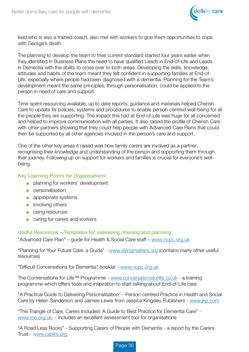

lead who is also a trained coach, also met with workers to give them opportunities to cope with George's death.

The planning to develop the team to their current standard started four years earlier when they identified in Business Plans the need to have qualified Leads in End-of-Life and Leads in Dementia with the ability to cross over to both areas. Developing the skills, knowledge, attitudes and habits of the team meant they felt confident in supporting families at End-of-Life, especially where people had been diagnosed with a dementia. Planning for the Team's development meant the same principles, through personalisation, could be applied to the person in need of care and support.

Time spent resourcing available, up to date reports, guidance and materials helped Cherish Care to update its policies, systems and procedures to enable person-centred well-being for all the people they are supporting. The impact this had at End-of-Life was huge for all concerned and helped to improve communication with all parties. It also raised the profile of Cherish Care with other partners showing that they could help people with Advanced Care Plans that could then be supported by all other agencies involved in the person's care and support.

One of the other key areas it raised was how family carers are involved as a partner; recognising their knowledge and understanding of the person and supporting them through their journey. Following up on support for workers and families is crucial for everyone's wellbeing.

#### Key Learning Points for Organisations:

- planning for workers' development
- personalisation
- appropriate systems
- involving others
- using resources
- caring for carers and workers

Useful Resources – Templates for assessing, training and planning "Advanced Care Plan" – guide for Health & Social Care staff – www.ncpc.org.uk

"Planning for Your Future Care: a Guide" - www.dyingmatters.org (contains many other useful resources)

"Difficult Conversations for Dementia" booklet - www.ncpc.org.uk

The Conversations for Life™ Programme - www.conversationsforlife.co.uk - a training programme which offers tools and inspiration to start talking about End-of-Life care

"A Practical Guide to Delivering Personalisation" - Person-centred Practice in Health and Social Care by Helen Sanderson and Jaimee Lewis from Jessica Kingsley Publishers - www.jkp.com

"The Triangle of Care, Carers Included: A Guide to Best Practice for Dementia Care" www.rcn.org.uk. - includes an excellent assessment tool for organisations

"A Road Less Rocky" - Supporting Carers of People with Dementia - a report by the Carers Trust - www.carers.org

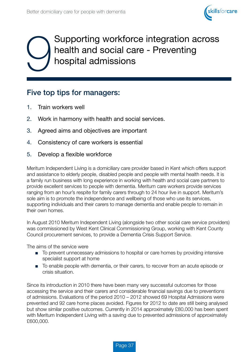

# Supporting workforce integration across health and social care - Preventing hospital admissions

### Five top tips for managers:

- 1. Train workers well
- 2. Work in harmony with health and social services.
- 3. Agreed aims and objectives are important
- 4. Consistency of care workers is essential
- 5. Develop a flexible workforce

Meritum Independent Living is a domiciliary care provider based in Kent which offers support and assistance to elderly people, disabled people and people with mental health needs. It is a family run business with long experience in working with health and social care partners to provide excellent services to people with dementia. Meritum care workers provide services ranging from an hour's respite for family carers through to 24 hour live in support. Meritum's sole aim is to promote the independence and wellbeing of those who use its services, supporting individuals and their carers to manage dementia and enable people to remain in their own homes.

In August 2010 Meritum Independent Living (alongside two other social care service providers) was commissioned by West Kent Clinical Commissioning Group, working with Kent County Council procurement services, to provide a Dementia Crisis Support Service.

The aims of the service were

- To prevent unnecessary admissions to hospital or care homes by providing intensive specialist support at home
- To enable people with dementia, or their carers, to recover from an acute episode or crisis situation.

Since its introduction in 2010 there have been many very successful outcomes for those accessing the service and their carers and considerable financial savings due to preventions of admissions. Evaluations of the period 2010 – 2012 showed 69 Hospital Admissions were prevented and 92 care home places avoided. Figures for 2012 to date are still being analysed but show similar positive outcomes. Currently in 2014 approximately £80,000 has been spent with Meritum Independent Living with a saving due to prevented admissions of approximately £600,000.

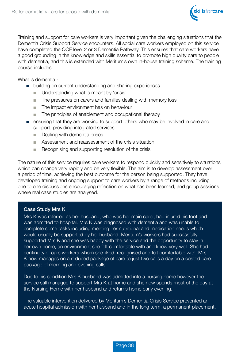

Training and support for care workers is very important given the challenging situations that the Dementia Crisis Support Service encounters. All social care workers employed on this service have completed the QCF level 2 or 3 Dementia Pathway. This ensures that care workers have a good grounding in the knowledge and skills essential to promote high quality care to people with dementia, and this is extended with Meritum's own in-house training scheme. The training course includes

What is dementia -

- building on current understanding and sharing experiences
	- Understanding what is meant by 'crisis'
	- The pressures on carers and families dealing with memory loss
	- The impact environment has on behaviour
	- The principles of enablement and occupational therapy
- ensuring that they are working to support others who may be involved in care and support, providing integrated services
	- Dealing with dementia crises
	- Assessment and reassessment of the crisis situation
	- Recognising and supporting resolution of the crisis

The nature of this service requires care workers to respond quickly and sensitively to situations which can change very rapidly and be very flexible. The aim is to develop assessment over a period of time, achieving the best outcome for the person being supported. They have developed training and ongoing support to care workers by a range of methods including one to one discussions encouraging reflection on what has been learned, and group sessions where real case studies are analysed.

#### Case Study Mrs K

Mrs K was referred as her husband, who was her main carer, had injured his foot and was admitted to hospital. Mrs K was diagnosed with dementia and was unable to complete some tasks including meeting her nutritional and medication needs which would usually be supported by her husband. Meritum's workers had successfully supported Mrs K and she was happy with the service and the opportunity to stay in her own home, an environment she felt comfortable with and knew very well. She had continuity of care workers whom she liked, recognised and felt comfortable with. Mrs K now manages on a reduced package of care to just two calls a day on a costed care package of morning and evening calls.

Due to his condition Mrs K husband was admitted into a nursing home however the service still managed to support Mrs K at home and she now spends most of the day at the Nursing Home with her husband and returns home early evening.

The valuable intervention delivered by Meritum's Dementia Crisis Service prevented an acute hospital admission with her husband and in the long term, a permanent placement.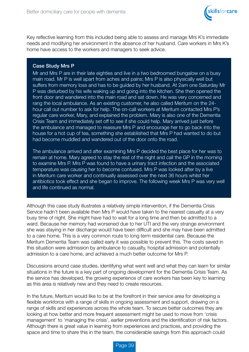

Key reflective learning from this included being able to assess and manage Mrs K's immediate needs and modifying her environment in the absence of her husband. Care workers in Mrs K's home have access to the workers and managers to seek advice.

#### Case Study Mrs P

Mr and Mrs P are in their late eighties and live in a two bedroomed bungalow on a busy main road. Mr P is well apart from aches and pains; Mrs P is also physically well but suffers from memory loss and has to be guided by her husband. At 2am one Saturday Mr P was disturbed by his wife waking up and going into the kitchen. She then opened the front door and wandered into the main road and sat down. He was very concerned and rang the local ambulance. As an existing customer, he also called Meritum on the 24 hour call out number to ask for help. The on-call workers at Meritum contacted Mrs P's regular care worker, Mary, and explained the problem. Mary is also one of the Dementia Crisis Team and immediately set off to see if she could help. Mary arrived just before the ambulance and managed to reassure Mrs P and encourage her to go back into the house for a hot cup of tea, something she established that Mrs P had wanted to do but had become muddled and wandered out of the door onto the road.

The ambulance arrived and after examining Mrs P decided the best place for her was to remain at home. Mary agreed to stay the rest of the night and call the GP in the morning to examine Mrs P. Mrs P was found to have a urinary tract infection and the associated temperature was causing her to become confused. Mrs P was looked after by a live in Meritum care worker and continually assessed over the next 36 hours whilst her antibiotics took effect and she began to improve. The following week Mrs P was very well and life continued as normal.

Although this case study illustrates a relatively simple intervention, if the Dementia Crisis Service hadn't been available then Mrs P would have taken to the nearest casualty at a very busy time of night. She might have had to wait for a long time and then be admitted to a ward. Because her memory had worsened due to her UTI and the very strange environment she was staying in her discharge would have been difficult and she may have been admitted to a care home. This is a very common route to long term residential care. Because the Meritum Dementia Team was called early it was possible to prevent this. The costs saved in this situation were admission by ambulance to casualty, hospital admission and potentially admission to a care home, and achieved a much better outcome for Mrs P.

Discussions around case studies, identifying what went well and what they can learn for similar situations in the future is a key part of ongoing development for the Dementia Crisis Team. As the service has developed, the growing experience of care workers has been key to learning as this area is relatively new and they need to create resources.

In the future, Meritum would like to be at the forefront in their service area for developing a flexible workforce with a range of skills in ongoing assessment and support, drawing on a range of skills and experiences across the whole team. To secure better outcomes they are looking at how better and more frequent assessment might be used to move from 'crisis management' to 'managing the crisis', earlier preventions and the identification of risk factors. Although there is great value in learning from experiences and practices, and providing the space and time to share this in the team, the considerable savings from this approach could

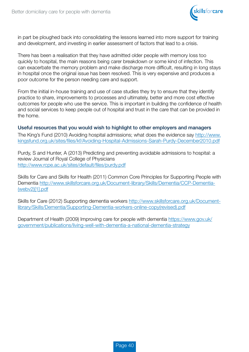

in part be ploughed back into consolidating the lessons learned into more support for training and development, and investing in earlier assessment of factors that lead to a crisis.

There has been a realisation that they have admitted older people with memory loss too quickly to hospital, the main reasons being carer breakdown or some kind of infection. This can exacerbate the memory problem and make discharge more difficult, resulting in long stays in hospital once the original issue has been resolved. This is very expensive and produces a poor outcome for the person needing care and support.

From the initial in-house training and use of case studies they try to ensure that they identify practice to share, improvements to processes and ultimately, better and more cost effective outcomes for people who use the service. This is important in building the confidence of health and social services to keep people out of hospital and trust in the care that can be provided in the home.

#### Useful resources that you would wish to highlight to other employers and managers

The King's Fund (2010) Avoiding hospital admissions; what does the evidence say http://www. kingsfund.org.uk/sites/files/kf/Avoiding-Hospital-Admissions-Sarah-Purdy-December2010.pdf

Purdy, S and Hunter, A (2013) Predicting and preventing avoidable admissions to hospital: a review Journal of Royal College of Physicians http://www.rcpe.ac.uk/sites/default/files/purdy.pdf

Skills for Care and Skills for Health (2011) Common Core Principles for Supporting People with Dementia http://www.skillsforcare.org.uk/Document-library/Skills/Dementia/CCP-Dementia- (webv2)[1].pdf

Skills for Care (2012) Supporting dementia workers http://www.skillsforcare.org.uk/Documentlibrary/Skills/Dementia/Supporting-Dementia-workers-online-copy(revised).pdf

Department of Health (2009) Improving care for people with dementia https://www.gov.uk/ government/publications/living-well-with-dementia-a-national-dementia-strategy

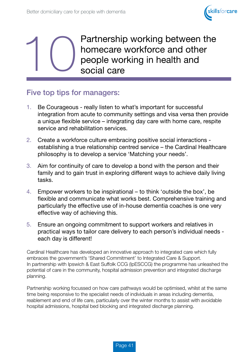

Partnership working between the<br>homecare workforce and other<br>people working in health and<br>social care homecare workforce and other people working in health and social care

### Five top tips for managers:

- 1. Be Courageous really listen to what's important for successful integration from acute to community settings and visa versa then provide a unique flexible service – integrating day care with home care, respite service and rehabilitation services.
- 2. Create a workforce culture embracing positive social interactions establishing a true relationship centred service – the Cardinal Healthcare philosophy is to develop a service 'Matching your needs'.
- 3. Aim for continuity of care to develop a bond with the person and their family and to gain trust in exploring different ways to achieve daily living tasks.
- 4. Empower workers to be inspirational to think 'outside the box', be flexible and communicate what works best. Comprehensive training and particularly the effective use of in-house dementia coaches is one very effective way of achieving this.
- 5. Ensure an ongoing commitment to support workers and relatives in practical ways to tailor care delivery to each person's individual needs each day is different!

Cardinal Healthcare has developed an innovative approach to integrated care which fully embraces the government's 'Shared Commitment' to Integrated Care & Support. In partnership with Ipswich & East Suffolk CCG (IpESCCG) the programme has unleashed the potential of care in the community, hospital admission prevention and integrated discharge planning.

Partnership working focussed on how care pathways would be optimised, whilst at the same time being responsive to the specialist needs of individuals in areas including dementia, reablement and end of life care, particularly over the winter months to assist with avoidable hospital admissions, hospital bed blocking and integrated discharge planning.

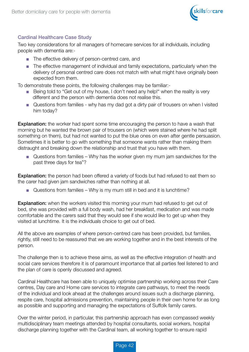

#### Cardinal Healthcare Case Study

Two key considerations for all managers of homecare services for all individuals, including people with dementia are:-

- The effective delivery of person-centred care, and
- The effective management of individual and family expectations, particularly when the delivery of personal centred care does not match with what might have originally been expected from them.

To demonstrate these points, the following challenges may be familiar:-

- Being told to "Get out of my house, I don't need any help!" when the reality is very different and the person with dementia does not realise this.
- Questions from families why has my dad got a dirty pair of trousers on when I visited him today?

**Explanation:** the worker had spent some time encouraging the person to have a wash that morning but he wanted the brown pair of trousers on (which were stained where he had split something on them), but had not wanted to put the blue ones on even after gentle persuasion. Sometimes it is better to go with something that someone wants rather than making them distraught and breaking down the relationship and trust that you have with them.

■ Questions from families – Why has the worker given my mum jam sandwiches for the past three days for tea"?

**Explanation:** the person had been offered a variety of foods but had refused to eat them so the carer had given jam sandwiches rather than nothing at all.

Questions from families – Why is my mum still in bed and it is lunchtime?

**Explanation:** when the workers visited this morning your mum had refused to get out of bed, she was provided with a full body wash, had her breakfast, medication and was made comfortable and the carers said that they would see if she would like to get up when they visited at lunchtime. It is the individuals choice to get out of bed.

All the above are examples of where person-centred care has been provided, but families, rightly, still need to be reassured that we are working together and in the best interests of the person.

The challenge then is to achieve these aims, as well as the effective integration of health and social care services therefore it is of paramount importance that all parties feel listened to and the plan of care is openly discussed and agreed.

Cardinal Healthcare has been able to uniquely optimise partnership working across their Care centres, Day care and Home care services to integrate care pathways, to meet the needs of the individual and look ahead at the challenges around issues such a discharge planning, respite care, hospital admissions prevention, maintaining people in their own home for as long as possible and supporting and managing the expectations of Suffolk family carers.

Over the winter period, in particular, this partnership approach has even compassed weekly multidisciplinary team meetings attended by hospital consultants, social workers, hospital discharge planning together with the Cardinal team, all working together to ensure rapid

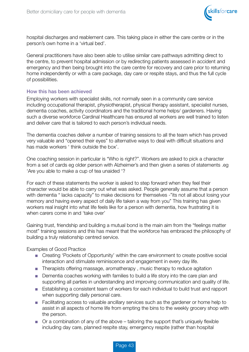

hospital discharges and reablement care. This taking place in either the care centre or in the person's own home in a 'virtual bed'.

General practitioners have also been able to utilise similar care pathways admitting direct to the centre, to prevent hospital admission or by redirecting patients assessed in accident and emergency and then being brought into the care centre for recovery and care prior to returning home independently or with a care package, day care or respite stays, and thus the full cycle of possibilities.

#### How this has been achieved

Employing workers with specialist skills, not normally seen in a community care service including occupational therapist, physiotherapist, physical therapy assistant, specialist nurses, dementia coaches, activity coordinators and the traditional home helps/ gardeners. Having such a diverse workforce Cardinal Healthcare has ensured all workers are well trained to listen and deliver care that is tailored to each person's individual needs.

The dementia coaches deliver a number of training sessions to all the team which has proved very valuable and "opened their eyes" to alternative ways to deal with difficult situations and has made workers ' think outside the box'.

One coaching session in particular is "Who is right?". Workers are asked to pick a character from a set of cards eg older person with Alzheimer's and then given a series of statements .eg 'Are you able to make a cup of tea unaided '?

For each of these statements the worker is asked to step forward when they feel their character would be able to carry out what was asked. People generally assume that a person with dementia " lacks capacity" to make decisions for themselves -"its not all about losing your memory and having every aspect of daily life taken a way from you" This training has given workers real insight into what life feels like for a person with dementia, how frustrating it is when carers come in and 'take over'

Gaining trust, friendship and building a mutual bond is the main aim from the "feelings matter most" training sessions and this has meant that the workforce has embraced the philosophy of building a truly relationship centred service.

Examples of Good Practice

- Creating 'Pockets of Opportunity' within the care environment to create positive social interaction and stimulate reminiscence and engagement in every day life.
- Therapists offering massage, aromatherapy, music therapy to reduce agitation
- Dementia coaches working with families to build a life story into the care plan and supporting all parties in understanding and improving communication and quality of life.
- Establishing a consistent team of workers for each individual to build trust and rapport when supporting daily personal care.
- Facilitating access to valuable ancillary services such as the gardener or home help to assist in all aspects of home life from empting the bins to the weekly grocery shop with the person.
- Or a combination of any of the above tailoring the support that's uniquely flexible including day care, planned respite stay, emergency respite (rather than hospital

Page 43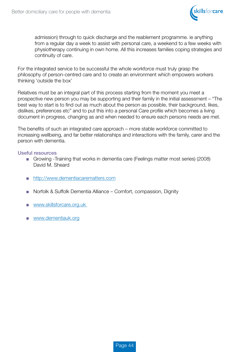

 admission) through to quick discharge and the reablement programme. ie anything from a regular day a week to assist with personal care, a weekend to a few weeks with physiotherapy continuing in own home. All this increases families coping strategies and continuity of care.

For the integrated service to be successful the whole workforce must truly grasp the philosophy of person-centred care and to create an environment which empowers workers thinking 'outside the box'

Relatives must be an integral part of this process starting from the moment you meet a prospective new person you may be supporting and their family in the initial assessment – "The best way to start is to find out as much about the person as possible, their background, likes, dislikes, preferences etc" and to put this into a personal Care profile which becomes a living document in progress, changing as and when needed to ensure each persons needs are met.

The benefits of such an integrated care approach – more stable workforce committed to increasing wellbeing, and far better relationships and interactions with the family, carer and the person with dementia.

#### Useful resources

- Growing -Training that works in dementia care (Feelings matter most series) (2008) David M. Sheard
- http://www.dementiacarematters.com
- Norfolk & Suffolk Dementia Alliance Comfort, compassion, Dignity
- www.skillsforcare.org.uk
- www.dementiauk.org

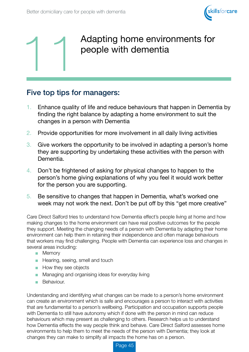



## Adapting home environments for people with dementia

### Five top tips for managers:

- 1. Enhance quality of life and reduce behaviours that happen in Dementia by finding the right balance by adapting a home environment to suit the changes in a person with Dementia
- 2. Provide opportunities for more involvement in all daily living activities
- 3. Give workers the opportunity to be involved in adapting a person's home they are supporting by undertaking these activities with the person with Dementia.
- 4. Don't be frightened of asking for physical changes to happen to the person's home giving explanations of why you feel it would work better for the person you are supporting.
- 5. Be sensitive to changes that happen in Dementia, what's worked one week may not work the next. Don't be put off by this "get more creative"

Care Direct Salford tries to understand how Dementia effect's people living at home and how making changes to the home environment can have real positive outcomes for the people they support. Meeting the changing needs of a person with Dementia by adapting their home environment can help them in retaining their independence and often manage behaviours that workers may find challenging. People with Dementia can experience loss and changes in several areas including:

- Memory
- Hearing, seeing, smell and touch
- How they see objects
- Managing and organising ideas for everyday living
- Behaviour.

Understanding and identifying what changes can be made to a person's home environment can create an environment which is safe and encourages a person to interact with activities that are fundamental to a person's wellbeing. Participation and occupation supports people with Dementia to still have autonomy which if done with the person in mind can reduce behaviours which may present as challenging to others. Research helps us to understand how Dementia effects the way people think and behave. Care Direct Salford assesses home environments to help them to meet the needs of the person with Dementia; they look at changes they can make to simplify all impacts the home has on a person.

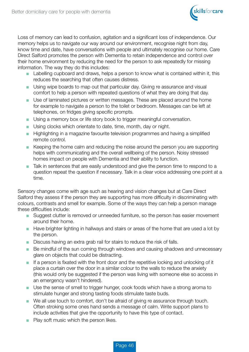

Loss of memory can lead to confusion, agitation and a significant loss of independence. Our memory helps us to navigate our way around our environment, recognise night from day, know time and date, have conversations with people and ultimately recognise our home. Care Direct Salford promotes the person with Dementia to retain independence and control over their home environment by reducing the need for the person to ask repeatedly for missing information. The way they do this includes:

- Labelling cupboard and draws, helps a person to know what is contained within it, this reduces the searching that often causes distress.
- Using wipe boards to map out that particular day. Giving re assurance and visual comfort to help a person with repeated questions of what they are doing that day.
- Use of laminated pictures or written messages. These are placed around the home for example to navigate a person to the toilet or bedroom. Messages can be left at telephones, on fridges giving specific prompts.
- Using a memory box or life story book to trigger meaningful conversation.
- Using clocks which orientate to date, time, month, day or night.
- Highlighting in a magazine favourite television programmes and having a simplified remote control.
- Keeping the home calm and reducing the noise around the person you are supporting helps with communicating and the overall wellbeing of the person. Noisy stressed homes impact on people with Dementia and their ability to function.
- Talk in sentences that are easily understood and give the person time to respond to a question repeat the question if necessary. Talk in a clear voice addressing one point at a time.

Sensory changes come with age such as hearing and vision changes but at Care Direct Salford they assess if the person they are supporting has more difficulty in discriminating with colours, contrasts and smell for example. Some of the ways they can help a person manage these difficulties include:

- Suggest clutter is removed or unneeded furniture, so the person has easier movement around their home.
- Have brighter lighting in hallways and stairs or areas of the home that are used a lot by the person.
- Discuss having an extra grab rail for stairs to reduce the risk of falls.
- Be mindful of the sun coming through windows and causing shadows and unnecessary glare on objects that could be distracting.
- If a person is fixated with the front door and the repetitive locking and unlocking of it place a curtain over the door in a similar colour to the walls to reduce the anxiety (this would only be suggested if the person was living with someone else so access in an emergency wasn't hindered).
- Use the sense of smell to trigger hunger, cook foods which have a strong aroma to stimulate hunger and strong tasting foods stimulate taste buds.
- We all use touch to comfort, don't be afraid of giving re assurance through touch. Often stroking some ones hand sends a message of calm. Write support plans to include activities that give the opportunity to have this type of contact.
- Play soft music which the person likes.

Page 46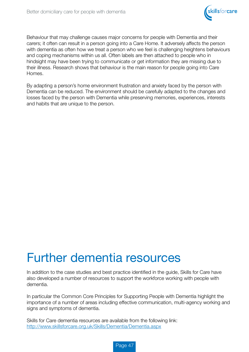

Behaviour that may challenge causes major concerns for people with Dementia and their carers; it often can result in a person going into a Care Home. It adversely affects the person with dementia as often how we treat a person who we feel is challenging heightens behaviours and coping mechanisms within us all. Often labels are then attached to people who in hindsight may have been trying to communicate or get information they are missing due to their illness. Research shows that behaviour is the main reason for people going into Care Homes.

By adapting a person's home environment frustration and anxiety faced by the person with Dementia can be reduced. The environment should be carefully adapted to the changes and losses faced by the person with Dementia while preserving memories, experiences, interests and habits that are unique to the person.

# Further dementia resources

In addition to the case studies and best practice identified in the guide, Skills for Care have also developed a number of resources to support the workforce working with people with dementia.

In particular the Common Core Principles for Supporting People with Dementia highlight the importance of a number of areas including effective communication, multi-agency working and signs and symptoms of dementia.

Skills for Care dementia resources are available from the following link: http://www.skillsforcare.org.uk/Skills/Dementia/Dementia.aspx